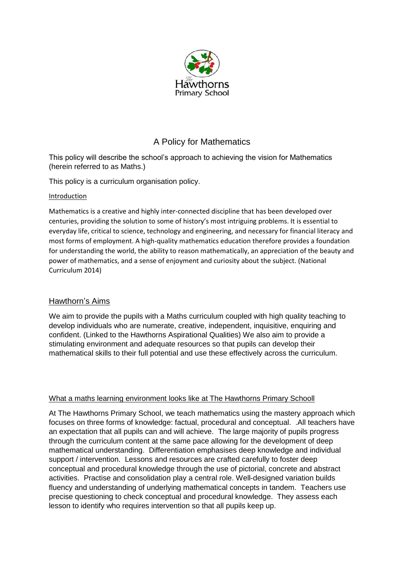

# A Policy for Mathematics

This policy will describe the school's approach to achieving the vision for Mathematics (herein referred to as Maths.)

This policy is a curriculum organisation policy.

#### Introduction

Mathematics is a creative and highly inter-connected discipline that has been developed over centuries, providing the solution to some of history's most intriguing problems. It is essential to everyday life, critical to science, technology and engineering, and necessary for financial literacy and most forms of employment. A high-quality mathematics education therefore provides a foundation for understanding the world, the ability to reason mathematically, an appreciation of the beauty and power of mathematics, and a sense of enjoyment and curiosity about the subject. (National Curriculum 2014)

### Hawthorn's Aims

We aim to provide the pupils with a Maths curriculum coupled with high quality teaching to develop individuals who are numerate, creative, independent, inquisitive, enquiring and confident. (Linked to the Hawthorns Aspirational Qualities) We also aim to provide a stimulating environment and adequate resources so that pupils can develop their mathematical skills to their full potential and use these effectively across the curriculum.

### What a maths learning environment looks like at The Hawthorns Primary Schooll

At The Hawthorns Primary School, we teach mathematics using the mastery approach which focuses on three forms of knowledge: factual, procedural and conceptual. .All teachers have an expectation that all pupils can and will achieve. The large majority of pupils progress through the curriculum content at the same pace allowing for the development of deep mathematical understanding. Differentiation emphasises deep knowledge and individual support / intervention. Lessons and resources are crafted carefully to foster deep conceptual and procedural knowledge through the use of pictorial, concrete and abstract activities. Practise and consolidation play a central role. Well-designed variation builds fluency and understanding of underlying mathematical concepts in tandem. Teachers use precise questioning to check conceptual and procedural knowledge. They assess each lesson to identify who requires intervention so that all pupils keep up.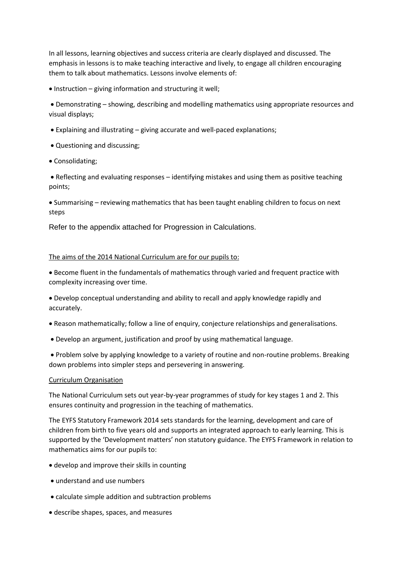In all lessons, learning objectives and success criteria are clearly displayed and discussed. The emphasis in lessons is to make teaching interactive and lively, to engage all children encouraging them to talk about mathematics. Lessons involve elements of:

• Instruction – giving information and structuring it well;

• Demonstrating – showing, describing and modelling mathematics using appropriate resources and visual displays;

- Explaining and illustrating giving accurate and well-paced explanations;
- Questioning and discussing;
- Consolidating;

• Reflecting and evaluating responses – identifying mistakes and using them as positive teaching points;

• Summarising – reviewing mathematics that has been taught enabling children to focus on next steps

Refer to the appendix attached for Progression in Calculations.

#### The aims of the 2014 National Curriculum are for our pupils to:

• Become fluent in the fundamentals of mathematics through varied and frequent practice with complexity increasing over time.

• Develop conceptual understanding and ability to recall and apply knowledge rapidly and accurately.

- Reason mathematically; follow a line of enquiry, conjecture relationships and generalisations.
- Develop an argument, justification and proof by using mathematical language.

• Problem solve by applying knowledge to a variety of routine and non-routine problems. Breaking down problems into simpler steps and persevering in answering.

#### Curriculum Organisation

The National Curriculum sets out year-by-year programmes of study for key stages 1 and 2. This ensures continuity and progression in the teaching of mathematics.

The EYFS Statutory Framework 2014 sets standards for the learning, development and care of children from birth to five years old and supports an integrated approach to early learning. This is supported by the 'Development matters' non statutory guidance. The EYFS Framework in relation to mathematics aims for our pupils to:

- develop and improve their skills in counting
- understand and use numbers
- calculate simple addition and subtraction problems
- describe shapes, spaces, and measures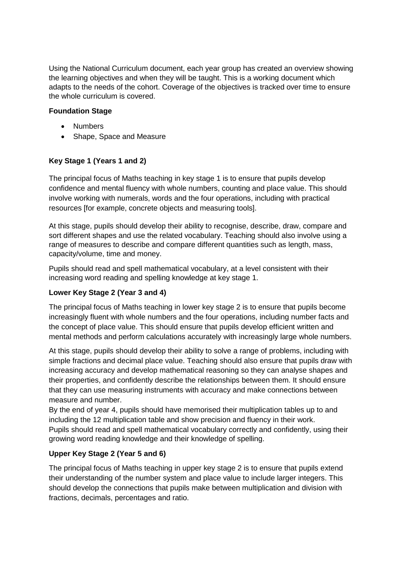Using the National Curriculum document, each year group has created an overview showing the learning objectives and when they will be taught. This is a working document which adapts to the needs of the cohort. Coverage of the objectives is tracked over time to ensure the whole curriculum is covered.

#### **Foundation Stage**

- Numbers
- Shape, Space and Measure

## **Key Stage 1 (Years 1 and 2)**

The principal focus of Maths teaching in key stage 1 is to ensure that pupils develop confidence and mental fluency with whole numbers, counting and place value. This should involve working with numerals, words and the four operations, including with practical resources [for example, concrete objects and measuring tools].

At this stage, pupils should develop their ability to recognise, describe, draw, compare and sort different shapes and use the related vocabulary. Teaching should also involve using a range of measures to describe and compare different quantities such as length, mass, capacity/volume, time and money.

Pupils should read and spell mathematical vocabulary, at a level consistent with their increasing word reading and spelling knowledge at key stage 1.

### **Lower Key Stage 2 (Year 3 and 4)**

The principal focus of Maths teaching in lower key stage 2 is to ensure that pupils become increasingly fluent with whole numbers and the four operations, including number facts and the concept of place value. This should ensure that pupils develop efficient written and mental methods and perform calculations accurately with increasingly large whole numbers.

At this stage, pupils should develop their ability to solve a range of problems, including with simple fractions and decimal place value. Teaching should also ensure that pupils draw with increasing accuracy and develop mathematical reasoning so they can analyse shapes and their properties, and confidently describe the relationships between them. It should ensure that they can use measuring instruments with accuracy and make connections between measure and number.

By the end of year 4, pupils should have memorised their multiplication tables up to and including the 12 multiplication table and show precision and fluency in their work. Pupils should read and spell mathematical vocabulary correctly and confidently, using their growing word reading knowledge and their knowledge of spelling.

### **Upper Key Stage 2 (Year 5 and 6)**

The principal focus of Maths teaching in upper key stage 2 is to ensure that pupils extend their understanding of the number system and place value to include larger integers. This should develop the connections that pupils make between multiplication and division with fractions, decimals, percentages and ratio.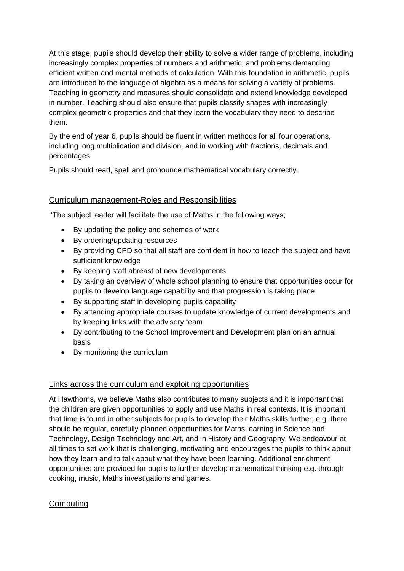At this stage, pupils should develop their ability to solve a wider range of problems, including increasingly complex properties of numbers and arithmetic, and problems demanding efficient written and mental methods of calculation. With this foundation in arithmetic, pupils are introduced to the language of algebra as a means for solving a variety of problems. Teaching in geometry and measures should consolidate and extend knowledge developed in number. Teaching should also ensure that pupils classify shapes with increasingly complex geometric properties and that they learn the vocabulary they need to describe them.

By the end of year 6, pupils should be fluent in written methods for all four operations, including long multiplication and division, and in working with fractions, decimals and percentages.

Pupils should read, spell and pronounce mathematical vocabulary correctly.

## Curriculum management-Roles and Responsibilities

'The subject leader will facilitate the use of Maths in the following ways;

- By updating the policy and schemes of work
- By ordering/updating resources
- By providing CPD so that all staff are confident in how to teach the subject and have sufficient knowledge
- By keeping staff abreast of new developments
- By taking an overview of whole school planning to ensure that opportunities occur for pupils to develop language capability and that progression is taking place
- By supporting staff in developing pupils capability
- By attending appropriate courses to update knowledge of current developments and by keeping links with the advisory team
- By contributing to the School Improvement and Development plan on an annual basis
- By monitoring the curriculum

### Links across the curriculum and exploiting opportunities

At Hawthorns, we believe Maths also contributes to many subjects and it is important that the children are given opportunities to apply and use Maths in real contexts. It is important that time is found in other subjects for pupils to develop their Maths skills further, e.g. there should be regular, carefully planned opportunities for Maths learning in Science and Technology, Design Technology and Art, and in History and Geography. We endeavour at all times to set work that is challenging, motivating and encourages the pupils to think about how they learn and to talk about what they have been learning. Additional enrichment opportunities are provided for pupils to further develop mathematical thinking e.g. through cooking, music, Maths investigations and games.

## **Computing**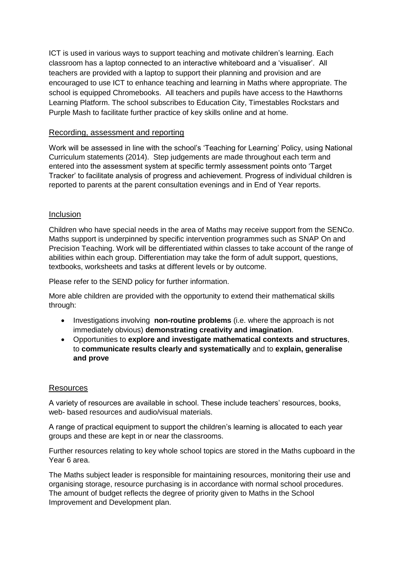ICT is used in various ways to support teaching and motivate children's learning. Each classroom has a laptop connected to an interactive whiteboard and a 'visualiser'. All teachers are provided with a laptop to support their planning and provision and are encouraged to use ICT to enhance teaching and learning in Maths where appropriate. The school is equipped Chromebooks. All teachers and pupils have access to the Hawthorns Learning Platform. The school subscribes to Education City, Timestables Rockstars and Purple Mash to facilitate further practice of key skills online and at home.

#### Recording, assessment and reporting

Work will be assessed in line with the school's 'Teaching for Learning' Policy, using National Curriculum statements (2014). Step judgements are made throughout each term and entered into the assessment system at specific termly assessment points onto 'Target Tracker' to facilitate analysis of progress and achievement. Progress of individual children is reported to parents at the parent consultation evenings and in End of Year reports.

#### **Inclusion**

Children who have special needs in the area of Maths may receive support from the SENCo. Maths support is underpinned by specific intervention programmes such as SNAP On and Precision Teaching. Work will be differentiated within classes to take account of the range of abilities within each group. Differentiation may take the form of adult support, questions, textbooks, worksheets and tasks at different levels or by outcome.

Please refer to the SEND policy for further information.

More able children are provided with the opportunity to extend their mathematical skills through:

- Investigations involving **non-routine problems** (i.e. where the approach is not immediately obvious) **demonstrating creativity and imagination**.
- Opportunities to **explore and investigate mathematical contexts and structures**, to **communicate results clearly and systematically** and to **explain, generalise and prove**

#### Resources

A variety of resources are available in school. These include teachers' resources, books, web- based resources and audio/visual materials.

A range of practical equipment to support the children's learning is allocated to each year groups and these are kept in or near the classrooms.

Further resources relating to key whole school topics are stored in the Maths cupboard in the Year 6 area.

The Maths subject leader is responsible for maintaining resources, monitoring their use and organising storage, resource purchasing is in accordance with normal school procedures. The amount of budget reflects the degree of priority given to Maths in the School Improvement and Development plan.